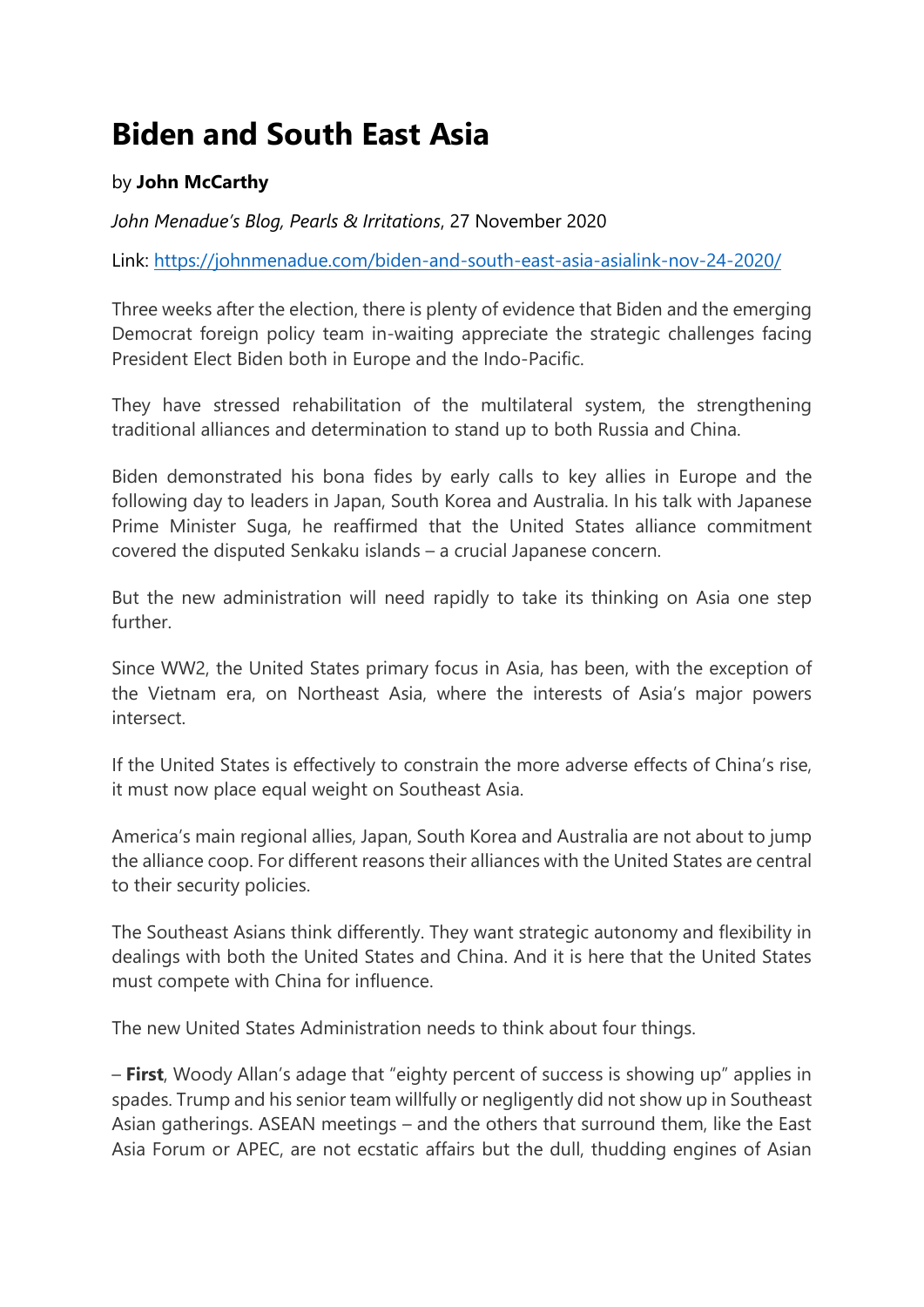## **Biden and South East Asia**

## by **John McCarthy**

*John Menadue's Blog, Pearls & Irritations*, 27 November 2020

Link: <https://johnmenadue.com/biden-and-south-east-asia-asialink-nov-24-2020/>

Three weeks after the election, there is plenty of evidence that Biden and the emerging Democrat foreign policy team in-waiting appreciate the strategic challenges facing President Elect Biden both in Europe and the Indo-Pacific.

They have stressed rehabilitation of the multilateral system, the strengthening traditional alliances and determination to stand up to both Russia and China.

Biden demonstrated his bona fides by early calls to key allies in Europe and the following day to leaders in Japan, South Korea and Australia. In his talk with Japanese Prime Minister Suga, he reaffirmed that the United States alliance commitment covered the disputed Senkaku islands – a crucial Japanese concern.

But the new administration will need rapidly to take its thinking on Asia one step further.

Since WW2, the United States primary focus in Asia, has been, with the exception of the Vietnam era, on Northeast Asia, where the interests of Asia's major powers intersect.

If the United States is effectively to constrain the more adverse effects of China's rise, it must now place equal weight on Southeast Asia.

America's main regional allies, Japan, South Korea and Australia are not about to jump the alliance coop. For different reasons their alliances with the United States are central to their security policies.

The Southeast Asians think differently. They want strategic autonomy and flexibility in dealings with both the United States and China. And it is here that the United States must compete with China for influence.

The new United States Administration needs to think about four things.

– **First**, Woody Allan's adage that "eighty percent of success is showing up" applies in spades. Trump and his senior team willfully or negligently did not show up in Southeast Asian gatherings. ASEAN meetings – and the others that surround them, like the East Asia Forum or APEC, are not ecstatic affairs but the dull, thudding engines of Asian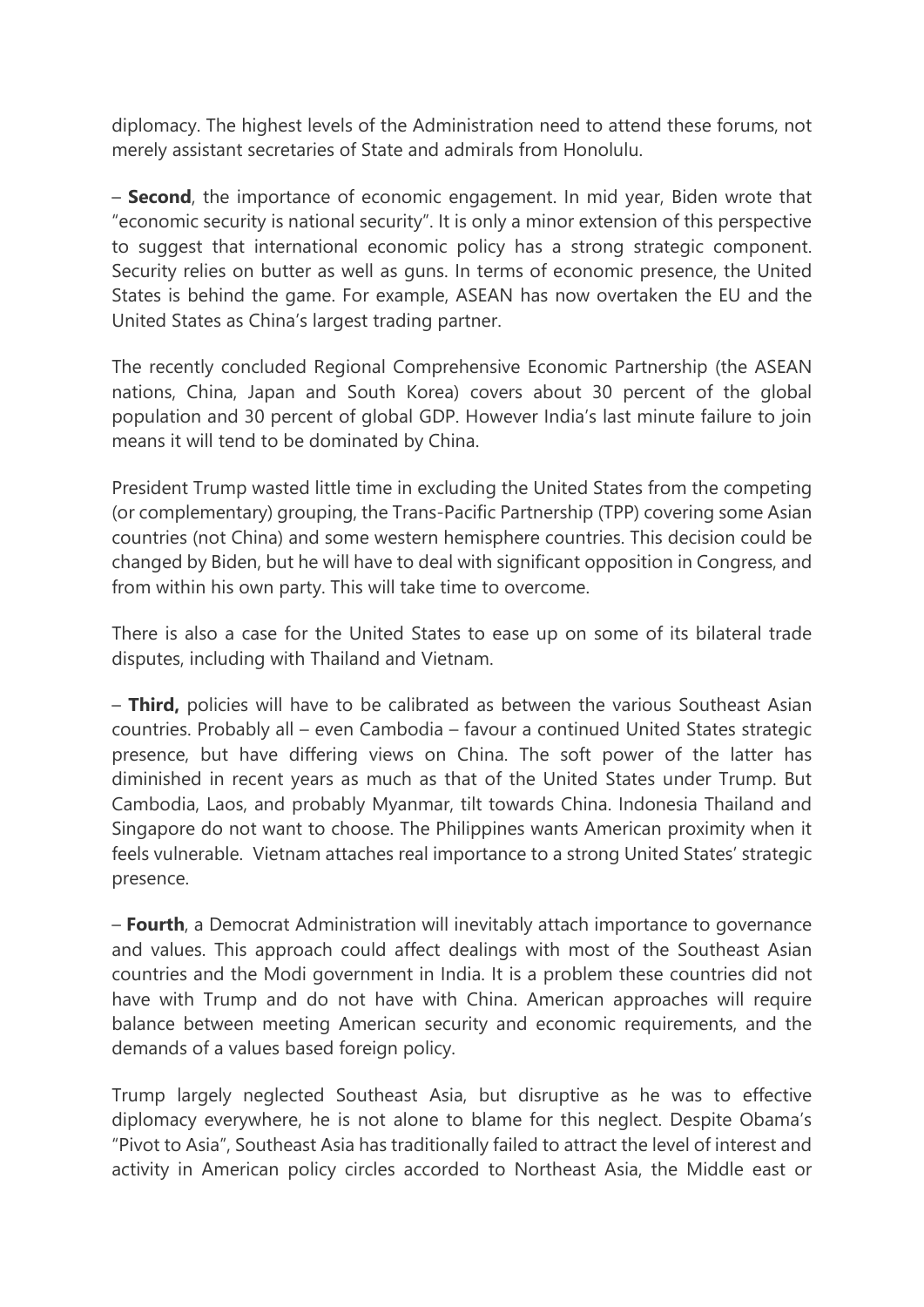diplomacy. The highest levels of the Administration need to attend these forums, not merely assistant secretaries of State and admirals from Honolulu.

– **Second**, the importance of economic engagement. In mid year, Biden wrote that "economic security is national security". It is only a minor extension of this perspective to suggest that international economic policy has a strong strategic component. Security relies on butter as well as guns. In terms of economic presence, the United States is behind the game. For example, ASEAN has now overtaken the EU and the United States as China's largest trading partner.

The recently concluded Regional Comprehensive Economic Partnership (the ASEAN nations, China, Japan and South Korea) covers about 30 percent of the global population and 30 percent of global GDP. However India's last minute failure to join means it will tend to be dominated by China.

President Trump wasted little time in excluding the United States from the competing (or complementary) grouping, the Trans-Pacific Partnership (TPP) covering some Asian countries (not China) and some western hemisphere countries. This decision could be changed by Biden, but he will have to deal with significant opposition in Congress, and from within his own party. This will take time to overcome.

There is also a case for the United States to ease up on some of its bilateral trade disputes, including with Thailand and Vietnam.

– **Third,** policies will have to be calibrated as between the various Southeast Asian countries. Probably all – even Cambodia – favour a continued United States strategic presence, but have differing views on China. The soft power of the latter has diminished in recent years as much as that of the United States under Trump. But Cambodia, Laos, and probably Myanmar, tilt towards China. Indonesia Thailand and Singapore do not want to choose. The Philippines wants American proximity when it feels vulnerable. Vietnam attaches real importance to a strong United States' strategic presence.

– **Fourth**, a Democrat Administration will inevitably attach importance to governance and values. This approach could affect dealings with most of the Southeast Asian countries and the Modi government in India. It is a problem these countries did not have with Trump and do not have with China. American approaches will require balance between meeting American security and economic requirements, and the demands of a values based foreign policy.

Trump largely neglected Southeast Asia, but disruptive as he was to effective diplomacy everywhere, he is not alone to blame for this neglect. Despite Obama's "Pivot to Asia", Southeast Asia has traditionally failed to attract the level of interest and activity in American policy circles accorded to Northeast Asia, the Middle east or